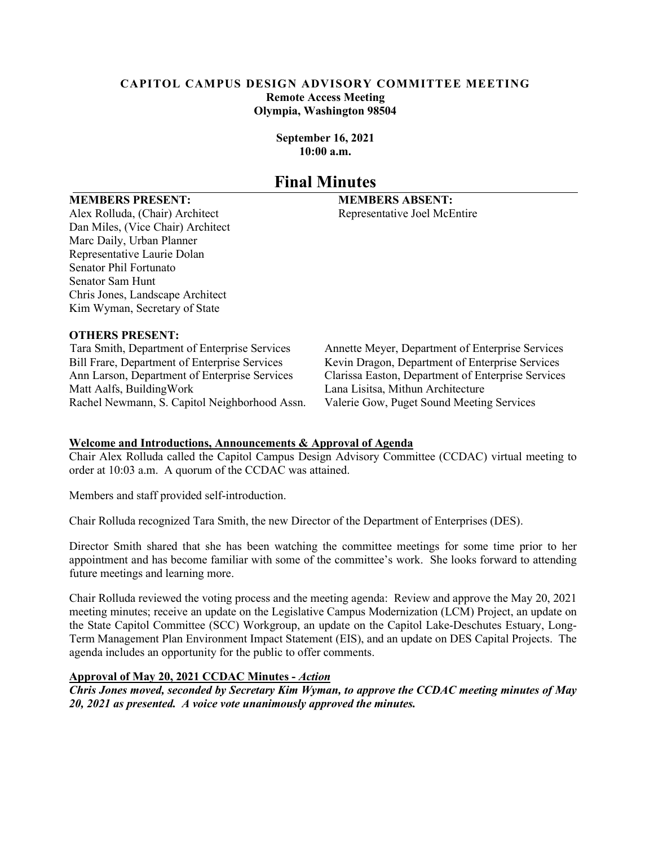#### **CAPITOL CAMPUS DESIGN ADVISORY COMMITTEE MEETING Remote Access Meeting Olympia, Washington 98504**

**September 16, 2021 10:00 a.m.**

## **Final Minutes**

#### **MEMBERS PRESENT: MEMBERS ABSENT:**

Alex Rolluda, (Chair) Architect Representative Joel McEntire Dan Miles, (Vice Chair) Architect Marc Daily, Urban Planner Representative Laurie Dolan Senator Phil Fortunato Senator Sam Hunt Chris Jones, Landscape Architect Kim Wyman, Secretary of State

#### **OTHERS PRESENT:**

Bill Frare, Department of Enterprise Services Kevin Dragon, Department of Enterprise Services Rachel Newmann, S. Capitol Neighborhood Assn. Valerie Gow, Puget Sound Meeting Services

Tara Smith, Department of Enterprise Services Annette Meyer, Department of Enterprise Services Ann Larson, Department of Enterprise Services Clarissa Easton, Department of Enterprise Services Lana Lisitsa, Mithun Architecture

#### **Welcome and Introductions, Announcements & Approval of Agenda**

Chair Alex Rolluda called the Capitol Campus Design Advisory Committee (CCDAC) virtual meeting to order at 10:03 a.m. A quorum of the CCDAC was attained.

Members and staff provided self-introduction.

Chair Rolluda recognized Tara Smith, the new Director of the Department of Enterprises (DES).

Director Smith shared that she has been watching the committee meetings for some time prior to her appointment and has become familiar with some of the committee's work. She looks forward to attending future meetings and learning more.

Chair Rolluda reviewed the voting process and the meeting agenda: Review and approve the May 20, 2021 meeting minutes; receive an update on the Legislative Campus Modernization (LCM) Project, an update on the State Capitol Committee (SCC) Workgroup, an update on the Capitol Lake-Deschutes Estuary, Long-Term Management Plan Environment Impact Statement (EIS), and an update on DES Capital Projects. The agenda includes an opportunity for the public to offer comments.

#### **Approval of May 20, 2021 CCDAC Minutes -** *Action*

*Chris Jones moved, seconded by Secretary Kim Wyman, to approve the CCDAC meeting minutes of May 20, 2021 as presented. A voice vote unanimously approved the minutes.*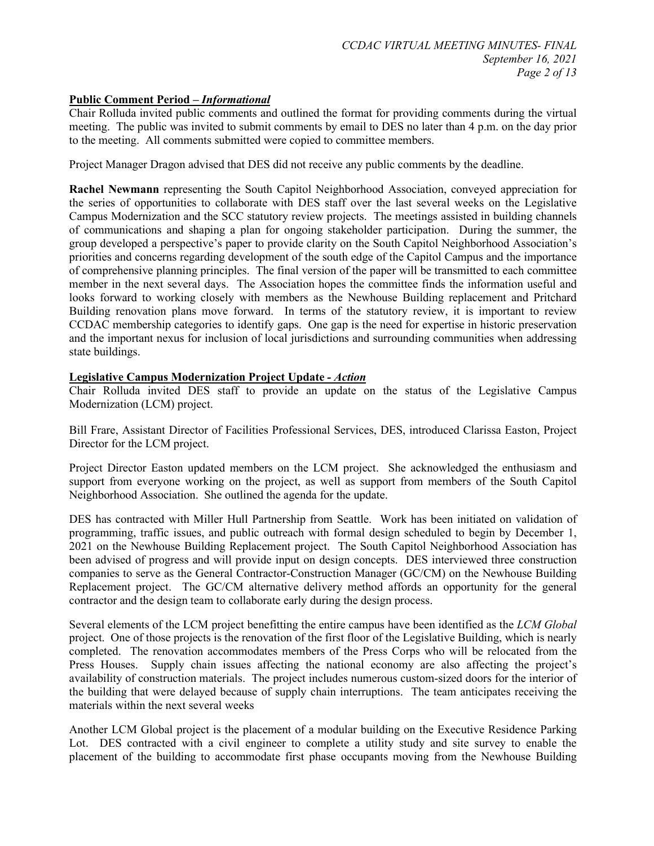#### **Public Comment Period –** *Informational*

Chair Rolluda invited public comments and outlined the format for providing comments during the virtual meeting. The public was invited to submit comments by email to DES no later than 4 p.m. on the day prior to the meeting. All comments submitted were copied to committee members.

Project Manager Dragon advised that DES did not receive any public comments by the deadline.

**Rachel Newmann** representing the South Capitol Neighborhood Association, conveyed appreciation for the series of opportunities to collaborate with DES staff over the last several weeks on the Legislative Campus Modernization and the SCC statutory review projects. The meetings assisted in building channels of communications and shaping a plan for ongoing stakeholder participation. During the summer, the group developed a perspective's paper to provide clarity on the South Capitol Neighborhood Association's priorities and concerns regarding development of the south edge of the Capitol Campus and the importance of comprehensive planning principles. The final version of the paper will be transmitted to each committee member in the next several days. The Association hopes the committee finds the information useful and looks forward to working closely with members as the Newhouse Building replacement and Pritchard Building renovation plans move forward. In terms of the statutory review, it is important to review CCDAC membership categories to identify gaps. One gap is the need for expertise in historic preservation and the important nexus for inclusion of local jurisdictions and surrounding communities when addressing state buildings.

#### **Legislative Campus Modernization Project Update** *- Action*

Chair Rolluda invited DES staff to provide an update on the status of the Legislative Campus Modernization (LCM) project.

Bill Frare, Assistant Director of Facilities Professional Services, DES, introduced Clarissa Easton, Project Director for the LCM project.

Project Director Easton updated members on the LCM project. She acknowledged the enthusiasm and support from everyone working on the project, as well as support from members of the South Capitol Neighborhood Association. She outlined the agenda for the update.

DES has contracted with Miller Hull Partnership from Seattle. Work has been initiated on validation of programming, traffic issues, and public outreach with formal design scheduled to begin by December 1, 2021 on the Newhouse Building Replacement project. The South Capitol Neighborhood Association has been advised of progress and will provide input on design concepts. DES interviewed three construction companies to serve as the General Contractor-Construction Manager (GC/CM) on the Newhouse Building Replacement project. The GC/CM alternative delivery method affords an opportunity for the general contractor and the design team to collaborate early during the design process.

Several elements of the LCM project benefitting the entire campus have been identified as the *LCM Global*  project. One of those projects is the renovation of the first floor of the Legislative Building, which is nearly completed. The renovation accommodates members of the Press Corps who will be relocated from the Press Houses. Supply chain issues affecting the national economy are also affecting the project's availability of construction materials. The project includes numerous custom-sized doors for the interior of the building that were delayed because of supply chain interruptions. The team anticipates receiving the materials within the next several weeks

Another LCM Global project is the placement of a modular building on the Executive Residence Parking Lot. DES contracted with a civil engineer to complete a utility study and site survey to enable the placement of the building to accommodate first phase occupants moving from the Newhouse Building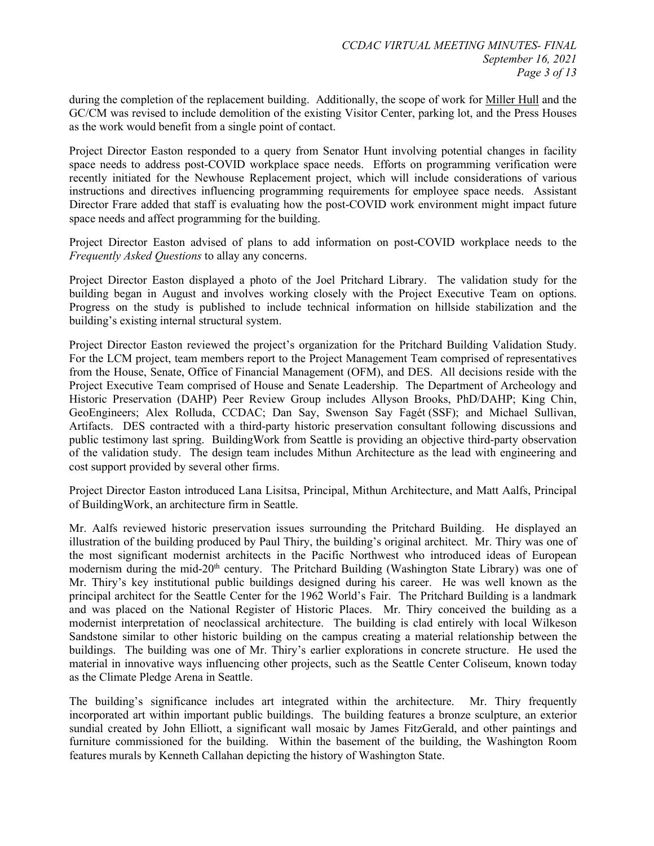during the completion of the replacement building. Additionally, the scope of work for Miller Hull and the GC/CM was revised to include demolition of the existing Visitor Center, parking lot, and the Press Houses as the work would benefit from a single point of contact.

Project Director Easton responded to a query from Senator Hunt involving potential changes in facility space needs to address post-COVID workplace space needs. Efforts on programming verification were recently initiated for the Newhouse Replacement project, which will include considerations of various instructions and directives influencing programming requirements for employee space needs. Assistant Director Frare added that staff is evaluating how the post-COVID work environment might impact future space needs and affect programming for the building.

Project Director Easton advised of plans to add information on post-COVID workplace needs to the *Frequently Asked Questions* to allay any concerns.

Project Director Easton displayed a photo of the Joel Pritchard Library. The validation study for the building began in August and involves working closely with the Project Executive Team on options. Progress on the study is published to include technical information on hillside stabilization and the building's existing internal structural system.

Project Director Easton reviewed the project's organization for the Pritchard Building Validation Study. For the LCM project, team members report to the Project Management Team comprised of representatives from the House, Senate, Office of Financial Management (OFM), and DES. All decisions reside with the Project Executive Team comprised of House and Senate Leadership. The Department of Archeology and Historic Preservation (DAHP) Peer Review Group includes Allyson Brooks, PhD/DAHP; King Chin, GeoEngineers; Alex Rolluda, CCDAC; Dan Say, Swenson Say Fagét (SSF); and Michael Sullivan, Artifacts. DES contracted with a third-party historic preservation consultant following discussions and public testimony last spring. BuildingWork from Seattle is providing an objective third-party observation of the validation study. The design team includes Mithun Architecture as the lead with engineering and cost support provided by several other firms.

Project Director Easton introduced Lana Lisitsa, Principal, Mithun Architecture, and Matt Aalfs, Principal of BuildingWork, an architecture firm in Seattle.

Mr. Aalfs reviewed historic preservation issues surrounding the Pritchard Building. He displayed an illustration of the building produced by Paul Thiry, the building's original architect. Mr. Thiry was one of the most significant modernist architects in the Pacific Northwest who introduced ideas of European modernism during the mid-20<sup>th</sup> century. The Pritchard Building (Washington State Library) was one of Mr. Thiry's key institutional public buildings designed during his career. He was well known as the principal architect for the Seattle Center for the 1962 World's Fair. The Pritchard Building is a landmark and was placed on the National Register of Historic Places. Mr. Thiry conceived the building as a modernist interpretation of neoclassical architecture. The building is clad entirely with local Wilkeson Sandstone similar to other historic building on the campus creating a material relationship between the buildings. The building was one of Mr. Thiry's earlier explorations in concrete structure. He used the material in innovative ways influencing other projects, such as the Seattle Center Coliseum, known today as the Climate Pledge Arena in Seattle.

The building's significance includes art integrated within the architecture. Mr. Thiry frequently incorporated art within important public buildings. The building features a bronze sculpture, an exterior sundial created by John Elliott, a significant wall mosaic by James FitzGerald, and other paintings and furniture commissioned for the building. Within the basement of the building, the Washington Room features murals by Kenneth Callahan depicting the history of Washington State.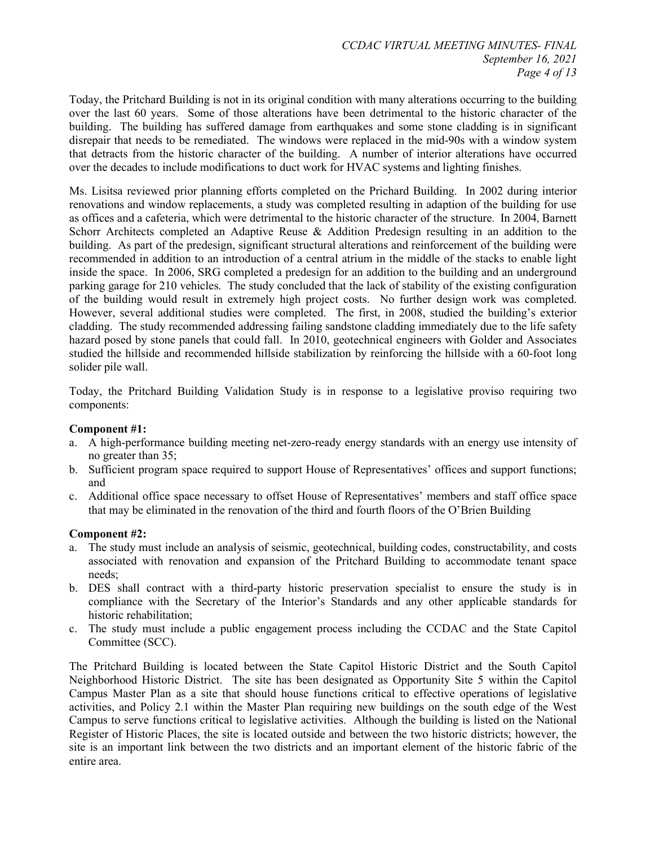Today, the Pritchard Building is not in its original condition with many alterations occurring to the building over the last 60 years. Some of those alterations have been detrimental to the historic character of the building. The building has suffered damage from earthquakes and some stone cladding is in significant disrepair that needs to be remediated. The windows were replaced in the mid-90s with a window system that detracts from the historic character of the building. A number of interior alterations have occurred over the decades to include modifications to duct work for HVAC systems and lighting finishes.

Ms. Lisitsa reviewed prior planning efforts completed on the Prichard Building. In 2002 during interior renovations and window replacements, a study was completed resulting in adaption of the building for use as offices and a cafeteria, which were detrimental to the historic character of the structure. In 2004, Barnett Schorr Architects completed an Adaptive Reuse & Addition Predesign resulting in an addition to the building. As part of the predesign, significant structural alterations and reinforcement of the building were recommended in addition to an introduction of a central atrium in the middle of the stacks to enable light inside the space. In 2006, SRG completed a predesign for an addition to the building and an underground parking garage for 210 vehicles. The study concluded that the lack of stability of the existing configuration of the building would result in extremely high project costs. No further design work was completed. However, several additional studies were completed. The first, in 2008, studied the building's exterior cladding. The study recommended addressing failing sandstone cladding immediately due to the life safety hazard posed by stone panels that could fall. In 2010, geotechnical engineers with Golder and Associates studied the hillside and recommended hillside stabilization by reinforcing the hillside with a 60-foot long solider pile wall.

Today, the Pritchard Building Validation Study is in response to a legislative proviso requiring two components:

#### **Component #1:**

- a. A high-performance building meeting net-zero-ready energy standards with an energy use intensity of no greater than 35;
- b. Sufficient program space required to support House of Representatives' offices and support functions; and
- c. Additional office space necessary to offset House of Representatives' members and staff office space that may be eliminated in the renovation of the third and fourth floors of the O'Brien Building

#### **Component #2:**

- a. The study must include an analysis of seismic, geotechnical, building codes, constructability, and costs associated with renovation and expansion of the Pritchard Building to accommodate tenant space needs;
- b. DES shall contract with a third-party historic preservation specialist to ensure the study is in compliance with the Secretary of the Interior's Standards and any other applicable standards for historic rehabilitation;
- c. The study must include a public engagement process including the CCDAC and the State Capitol Committee (SCC).

The Pritchard Building is located between the State Capitol Historic District and the South Capitol Neighborhood Historic District. The site has been designated as Opportunity Site 5 within the Capitol Campus Master Plan as a site that should house functions critical to effective operations of legislative activities, and Policy 2.1 within the Master Plan requiring new buildings on the south edge of the West Campus to serve functions critical to legislative activities. Although the building is listed on the National Register of Historic Places, the site is located outside and between the two historic districts; however, the site is an important link between the two districts and an important element of the historic fabric of the entire area.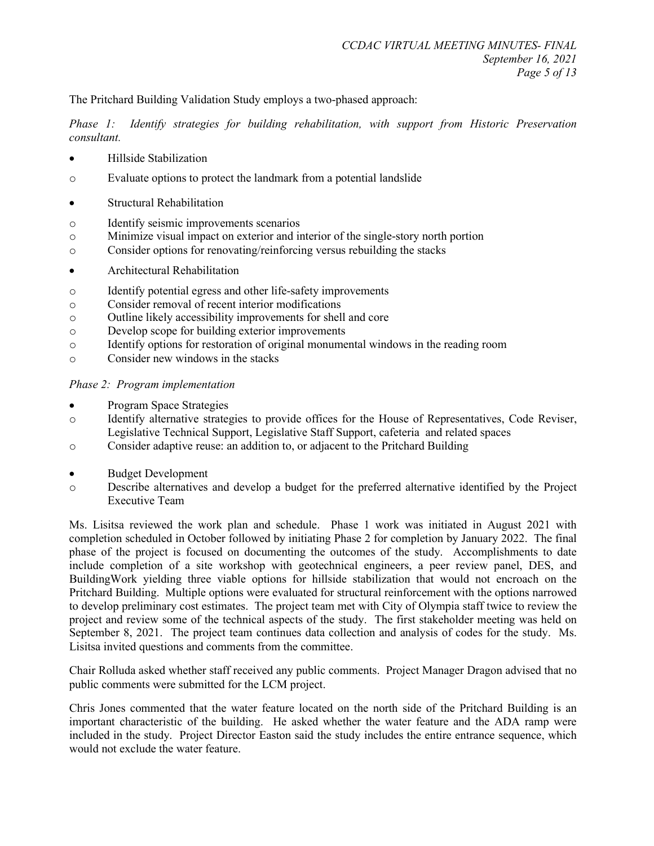The Pritchard Building Validation Study employs a two-phased approach:

*Phase 1: Identify strategies for building rehabilitation, with support from Historic Preservation consultant.*

- Hillside Stabilization
- o Evaluate options to protect the landmark from a potential landslide
- Structural Rehabilitation
- o Identify seismic improvements scenarios
- o Minimize visual impact on exterior and interior of the single-story north portion
- o Consider options for renovating/reinforcing versus rebuilding the stacks
- Architectural Rehabilitation
- o Identify potential egress and other life-safety improvements
- o Consider removal of recent interior modifications
- o Outline likely accessibility improvements for shell and core
- o Develop scope for building exterior improvements
- o Identify options for restoration of original monumental windows in the reading room
- o Consider new windows in the stacks

#### *Phase 2: Program implementation*

- Program Space Strategies
- o Identify alternative strategies to provide offices for the House of Representatives, Code Reviser, Legislative Technical Support, Legislative Staff Support, cafeteria and related spaces
- o Consider adaptive reuse: an addition to, or adjacent to the Pritchard Building
- Budget Development
- o Describe alternatives and develop a budget for the preferred alternative identified by the Project Executive Team

Ms. Lisitsa reviewed the work plan and schedule. Phase 1 work was initiated in August 2021 with completion scheduled in October followed by initiating Phase 2 for completion by January 2022. The final phase of the project is focused on documenting the outcomes of the study. Accomplishments to date include completion of a site workshop with geotechnical engineers, a peer review panel, DES, and BuildingWork yielding three viable options for hillside stabilization that would not encroach on the Pritchard Building. Multiple options were evaluated for structural reinforcement with the options narrowed to develop preliminary cost estimates. The project team met with City of Olympia staff twice to review the project and review some of the technical aspects of the study. The first stakeholder meeting was held on September 8, 2021. The project team continues data collection and analysis of codes for the study. Ms. Lisitsa invited questions and comments from the committee.

Chair Rolluda asked whether staff received any public comments. Project Manager Dragon advised that no public comments were submitted for the LCM project.

Chris Jones commented that the water feature located on the north side of the Pritchard Building is an important characteristic of the building. He asked whether the water feature and the ADA ramp were included in the study. Project Director Easton said the study includes the entire entrance sequence, which would not exclude the water feature.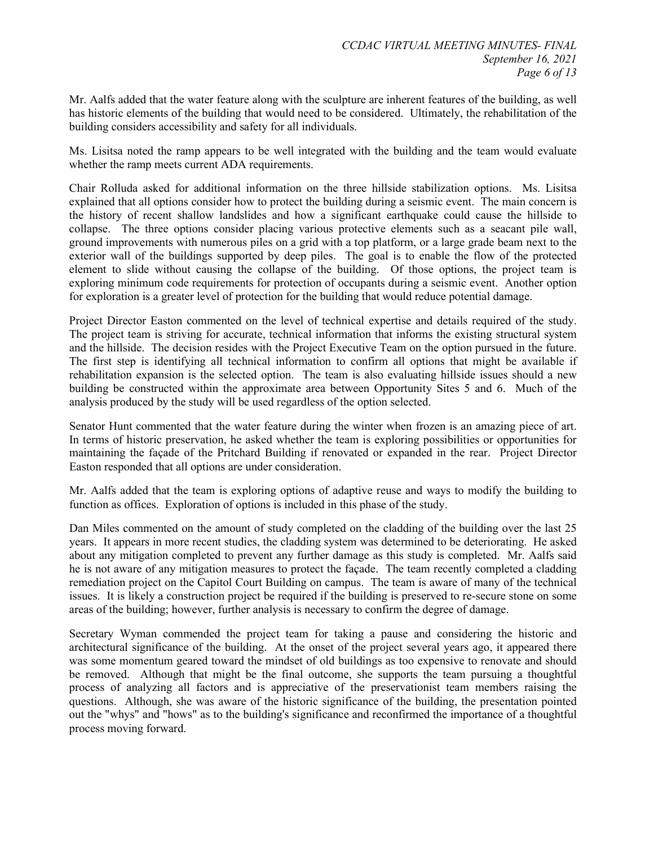Mr. Aalfs added that the water feature along with the sculpture are inherent features of the building, as well has historic elements of the building that would need to be considered. Ultimately, the rehabilitation of the building considers accessibility and safety for all individuals.

Ms. Lisitsa noted the ramp appears to be well integrated with the building and the team would evaluate whether the ramp meets current ADA requirements.

Chair Rolluda asked for additional information on the three hillside stabilization options. Ms. Lisitsa explained that all options consider how to protect the building during a seismic event. The main concern is the history of recent shallow landslides and how a significant earthquake could cause the hillside to collapse. The three options consider placing various protective elements such as a seacant pile wall, ground improvements with numerous piles on a grid with a top platform, or a large grade beam next to the exterior wall of the buildings supported by deep piles. The goal is to enable the flow of the protected element to slide without causing the collapse of the building. Of those options, the project team is exploring minimum code requirements for protection of occupants during a seismic event. Another option for exploration is a greater level of protection for the building that would reduce potential damage.

Project Director Easton commented on the level of technical expertise and details required of the study. The project team is striving for accurate, technical information that informs the existing structural system and the hillside. The decision resides with the Project Executive Team on the option pursued in the future. The first step is identifying all technical information to confirm all options that might be available if rehabilitation expansion is the selected option. The team is also evaluating hillside issues should a new building be constructed within the approximate area between Opportunity Sites 5 and 6. Much of the analysis produced by the study will be used regardless of the option selected.

Senator Hunt commented that the water feature during the winter when frozen is an amazing piece of art. In terms of historic preservation, he asked whether the team is exploring possibilities or opportunities for maintaining the façade of the Pritchard Building if renovated or expanded in the rear. Project Director Easton responded that all options are under consideration.

Mr. Aalfs added that the team is exploring options of adaptive reuse and ways to modify the building to function as offices. Exploration of options is included in this phase of the study.

Dan Miles commented on the amount of study completed on the cladding of the building over the last 25 years. It appears in more recent studies, the cladding system was determined to be deteriorating. He asked about any mitigation completed to prevent any further damage as this study is completed. Mr. Aalfs said he is not aware of any mitigation measures to protect the façade. The team recently completed a cladding remediation project on the Capitol Court Building on campus. The team is aware of many of the technical issues. It is likely a construction project be required if the building is preserved to re-secure stone on some areas of the building; however, further analysis is necessary to confirm the degree of damage.

Secretary Wyman commended the project team for taking a pause and considering the historic and architectural significance of the building. At the onset of the project several years ago, it appeared there was some momentum geared toward the mindset of old buildings as too expensive to renovate and should be removed. Although that might be the final outcome, she supports the team pursuing a thoughtful process of analyzing all factors and is appreciative of the preservationist team members raising the questions. Although, she was aware of the historic significance of the building, the presentation pointed out the "whys" and "hows" as to the building's significance and reconfirmed the importance of a thoughtful process moving forward.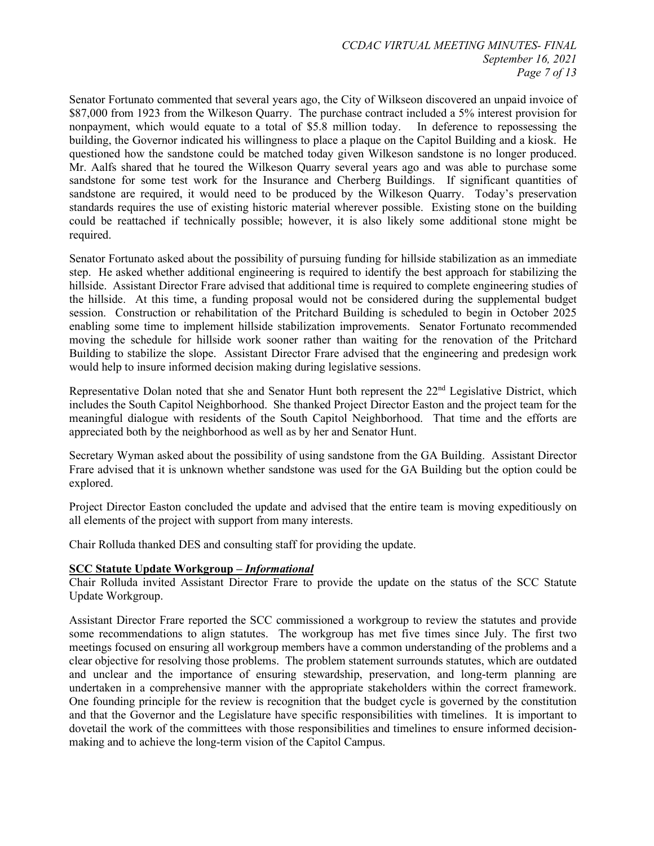Senator Fortunato commented that several years ago, the City of Wilkseon discovered an unpaid invoice of \$87,000 from 1923 from the Wilkeson Quarry. The purchase contract included a 5% interest provision for nonpayment, which would equate to a total of \$5.8 million today. In deference to repossessing the building, the Governor indicated his willingness to place a plaque on the Capitol Building and a kiosk. He questioned how the sandstone could be matched today given Wilkeson sandstone is no longer produced. Mr. Aalfs shared that he toured the Wilkeson Quarry several years ago and was able to purchase some sandstone for some test work for the Insurance and Cherberg Buildings. If significant quantities of sandstone are required, it would need to be produced by the Wilkeson Quarry. Today's preservation standards requires the use of existing historic material wherever possible. Existing stone on the building could be reattached if technically possible; however, it is also likely some additional stone might be required.

Senator Fortunato asked about the possibility of pursuing funding for hillside stabilization as an immediate step. He asked whether additional engineering is required to identify the best approach for stabilizing the hillside. Assistant Director Frare advised that additional time is required to complete engineering studies of the hillside. At this time, a funding proposal would not be considered during the supplemental budget session. Construction or rehabilitation of the Pritchard Building is scheduled to begin in October 2025 enabling some time to implement hillside stabilization improvements. Senator Fortunato recommended moving the schedule for hillside work sooner rather than waiting for the renovation of the Pritchard Building to stabilize the slope. Assistant Director Frare advised that the engineering and predesign work would help to insure informed decision making during legislative sessions.

Representative Dolan noted that she and Senator Hunt both represent the 22<sup>nd</sup> Legislative District, which includes the South Capitol Neighborhood. She thanked Project Director Easton and the project team for the meaningful dialogue with residents of the South Capitol Neighborhood. That time and the efforts are appreciated both by the neighborhood as well as by her and Senator Hunt.

Secretary Wyman asked about the possibility of using sandstone from the GA Building. Assistant Director Frare advised that it is unknown whether sandstone was used for the GA Building but the option could be explored.

Project Director Easton concluded the update and advised that the entire team is moving expeditiously on all elements of the project with support from many interests.

Chair Rolluda thanked DES and consulting staff for providing the update.

#### **SCC Statute Update Workgroup –** *Informational*

Chair Rolluda invited Assistant Director Frare to provide the update on the status of the SCC Statute Update Workgroup.

Assistant Director Frare reported the SCC commissioned a workgroup to review the statutes and provide some recommendations to align statutes. The workgroup has met five times since July. The first two meetings focused on ensuring all workgroup members have a common understanding of the problems and a clear objective for resolving those problems. The problem statement surrounds statutes, which are outdated and unclear and the importance of ensuring stewardship, preservation, and long-term planning are undertaken in a comprehensive manner with the appropriate stakeholders within the correct framework. One founding principle for the review is recognition that the budget cycle is governed by the constitution and that the Governor and the Legislature have specific responsibilities with timelines. It is important to dovetail the work of the committees with those responsibilities and timelines to ensure informed decisionmaking and to achieve the long-term vision of the Capitol Campus.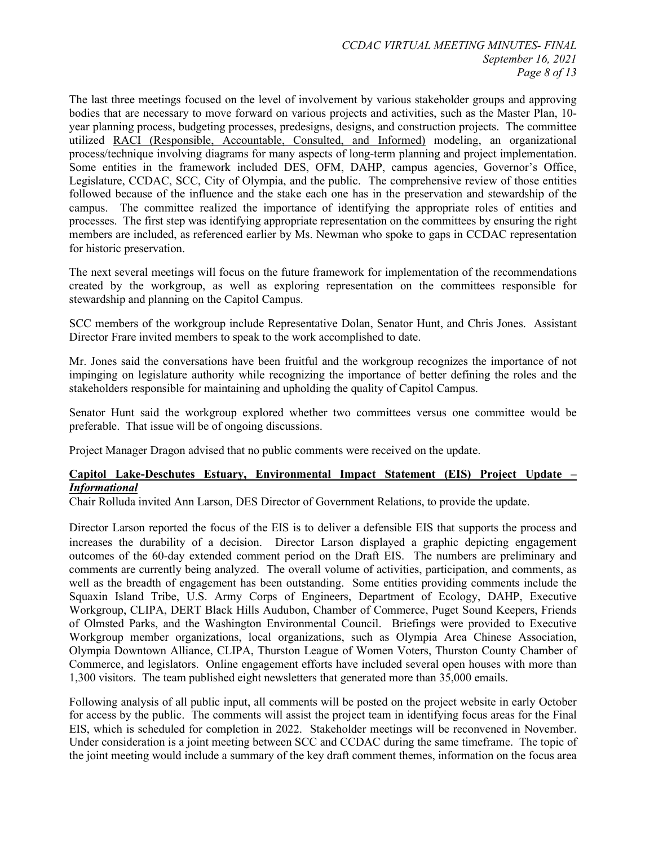The last three meetings focused on the level of involvement by various stakeholder groups and approving bodies that are necessary to move forward on various projects and activities, such as the Master Plan, 10 year planning process, budgeting processes, predesigns, designs, and construction projects. The committee utilized RACI (Responsible, Accountable, Consulted, and Informed) modeling, an organizational process/technique involving diagrams for many aspects of long-term planning and project implementation. Some entities in the framework included DES, OFM, DAHP, campus agencies, Governor's Office, Legislature, CCDAC, SCC, City of Olympia, and the public. The comprehensive review of those entities followed because of the influence and the stake each one has in the preservation and stewardship of the campus. The committee realized the importance of identifying the appropriate roles of entities and processes. The first step was identifying appropriate representation on the committees by ensuring the right members are included, as referenced earlier by Ms. Newman who spoke to gaps in CCDAC representation for historic preservation.

The next several meetings will focus on the future framework for implementation of the recommendations created by the workgroup, as well as exploring representation on the committees responsible for stewardship and planning on the Capitol Campus.

SCC members of the workgroup include Representative Dolan, Senator Hunt, and Chris Jones. Assistant Director Frare invited members to speak to the work accomplished to date.

Mr. Jones said the conversations have been fruitful and the workgroup recognizes the importance of not impinging on legislature authority while recognizing the importance of better defining the roles and the stakeholders responsible for maintaining and upholding the quality of Capitol Campus.

Senator Hunt said the workgroup explored whether two committees versus one committee would be preferable. That issue will be of ongoing discussions.

Project Manager Dragon advised that no public comments were received on the update.

#### **Capitol Lake-Deschutes Estuary, Environmental Impact Statement (EIS) Project Update –** *Informational*

Chair Rolluda invited Ann Larson, DES Director of Government Relations, to provide the update.

Director Larson reported the focus of the EIS is to deliver a defensible EIS that supports the process and increases the durability of a decision. Director Larson displayed a graphic depicting engagement outcomes of the 60-day extended comment period on the Draft EIS. The numbers are preliminary and comments are currently being analyzed. The overall volume of activities, participation, and comments, as well as the breadth of engagement has been outstanding. Some entities providing comments include the Squaxin Island Tribe, U.S. Army Corps of Engineers, Department of Ecology, DAHP, Executive Workgroup, CLIPA, DERT Black Hills Audubon, Chamber of Commerce, Puget Sound Keepers, Friends of Olmsted Parks, and the Washington Environmental Council. Briefings were provided to Executive Workgroup member organizations, local organizations, such as Olympia Area Chinese Association, Olympia Downtown Alliance, CLIPA, Thurston League of Women Voters, Thurston County Chamber of Commerce, and legislators. Online engagement efforts have included several open houses with more than 1,300 visitors. The team published eight newsletters that generated more than 35,000 emails.

Following analysis of all public input, all comments will be posted on the project website in early October for access by the public. The comments will assist the project team in identifying focus areas for the Final EIS, which is scheduled for completion in 2022. Stakeholder meetings will be reconvened in November. Under consideration is a joint meeting between SCC and CCDAC during the same timeframe. The topic of the joint meeting would include a summary of the key draft comment themes, information on the focus area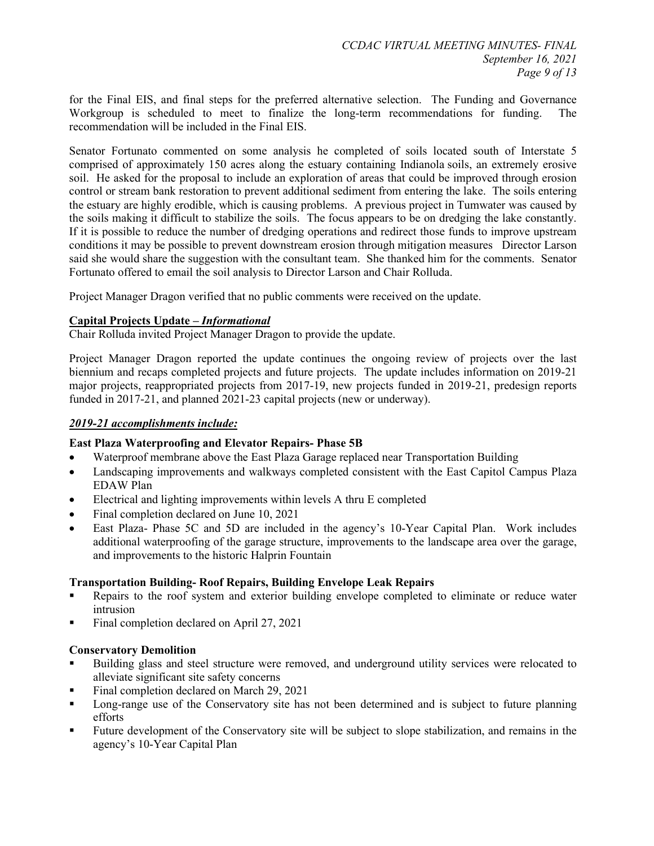for the Final EIS, and final steps for the preferred alternative selection. The Funding and Governance Workgroup is scheduled to meet to finalize the long-term recommendations for funding. The recommendation will be included in the Final EIS.

Senator Fortunato commented on some analysis he completed of soils located south of Interstate 5 comprised of approximately 150 acres along the estuary containing Indianola soils, an extremely erosive soil. He asked for the proposal to include an exploration of areas that could be improved through erosion control or stream bank restoration to prevent additional sediment from entering the lake. The soils entering the estuary are highly erodible, which is causing problems. A previous project in Tumwater was caused by the soils making it difficult to stabilize the soils. The focus appears to be on dredging the lake constantly. If it is possible to reduce the number of dredging operations and redirect those funds to improve upstream conditions it may be possible to prevent downstream erosion through mitigation measures Director Larson said she would share the suggestion with the consultant team. She thanked him for the comments. Senator Fortunato offered to email the soil analysis to Director Larson and Chair Rolluda.

Project Manager Dragon verified that no public comments were received on the update.

#### **Capital Projects Update –** *Informational*

Chair Rolluda invited Project Manager Dragon to provide the update.

Project Manager Dragon reported the update continues the ongoing review of projects over the last biennium and recaps completed projects and future projects. The update includes information on 2019-21 major projects, reappropriated projects from 2017-19, new projects funded in 2019-21, predesign reports funded in 2017-21, and planned 2021-23 capital projects (new or underway).

#### *2019-21 accomplishments include:*

#### **East Plaza Waterproofing and Elevator Repairs- Phase 5B**

- Waterproof membrane above the East Plaza Garage replaced near Transportation Building
- Landscaping improvements and walkways completed consistent with the East Capitol Campus Plaza EDAW Plan
- Electrical and lighting improvements within levels A thru E completed
- Final completion declared on June 10, 2021
- East Plaza- Phase 5C and 5D are included in the agency's 10-Year Capital Plan. Work includes additional waterproofing of the garage structure, improvements to the landscape area over the garage, and improvements to the historic Halprin Fountain

#### **Transportation Building- Roof Repairs, Building Envelope Leak Repairs**

- Repairs to the roof system and exterior building envelope completed to eliminate or reduce water intrusion
- Final completion declared on April 27, 2021

#### **Conservatory Demolition**

- Building glass and steel structure were removed, and underground utility services were relocated to alleviate significant site safety concerns
- Final completion declared on March 29, 2021
- Long-range use of the Conservatory site has not been determined and is subject to future planning efforts
- Future development of the Conservatory site will be subject to slope stabilization, and remains in the agency's 10-Year Capital Plan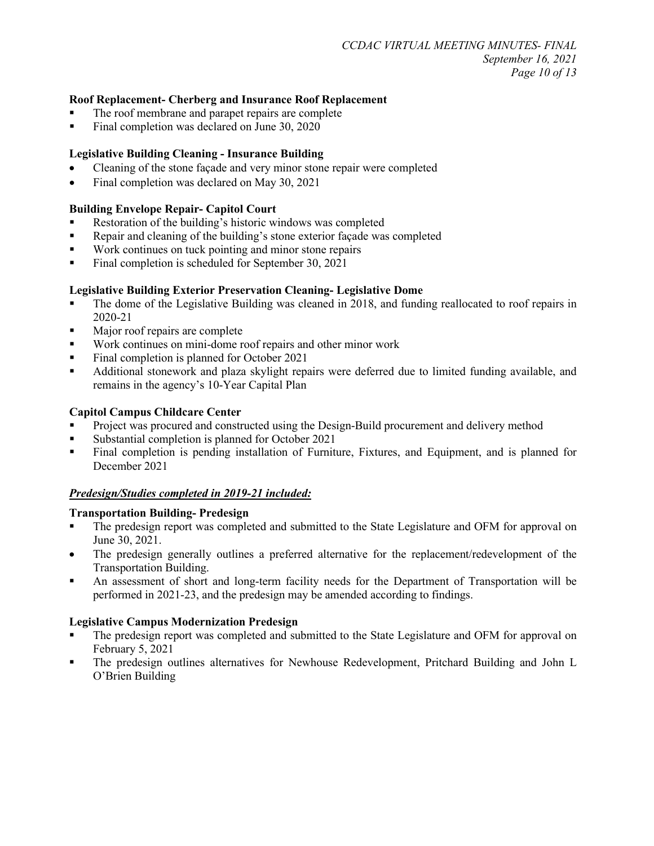#### **Roof Replacement- Cherberg and Insurance Roof Replacement**

- The roof membrane and parapet repairs are complete
- Final completion was declared on June 30, 2020

#### **Legislative Building Cleaning - Insurance Building**

- Cleaning of the stone façade and very minor stone repair were completed
- Final completion was declared on May 30, 2021

#### **Building Envelope Repair- Capitol Court**

- Restoration of the building's historic windows was completed
- Repair and cleaning of the building's stone exterior façade was completed
- **Work continues on tuck pointing and minor stone repairs**
- Final completion is scheduled for September 30, 2021

#### **Legislative Building Exterior Preservation Cleaning- Legislative Dome**

- The dome of the Legislative Building was cleaned in 2018, and funding reallocated to roof repairs in 2020-21
- Major roof repairs are complete
- Work continues on mini-dome roof repairs and other minor work
- Final completion is planned for October 2021
- Additional stonework and plaza skylight repairs were deferred due to limited funding available, and remains in the agency's 10-Year Capital Plan

#### **Capitol Campus Childcare Center**

- Project was procured and constructed using the Design-Build procurement and delivery method
- **Substantial completion is planned for October 2021**
- Final completion is pending installation of Furniture, Fixtures, and Equipment, and is planned for December 2021

#### *Predesign/Studies completed in 2019-21 included:*

#### **Transportation Building- Predesign**

- The predesign report was completed and submitted to the State Legislature and OFM for approval on June 30, 2021.
- The predesign generally outlines a preferred alternative for the replacement/redevelopment of the Transportation Building.
- An assessment of short and long-term facility needs for the Department of Transportation will be performed in 2021-23, and the predesign may be amended according to findings.

#### **Legislative Campus Modernization Predesign**

- The predesign report was completed and submitted to the State Legislature and OFM for approval on February 5, 2021
- The predesign outlines alternatives for Newhouse Redevelopment, Pritchard Building and John L O'Brien Building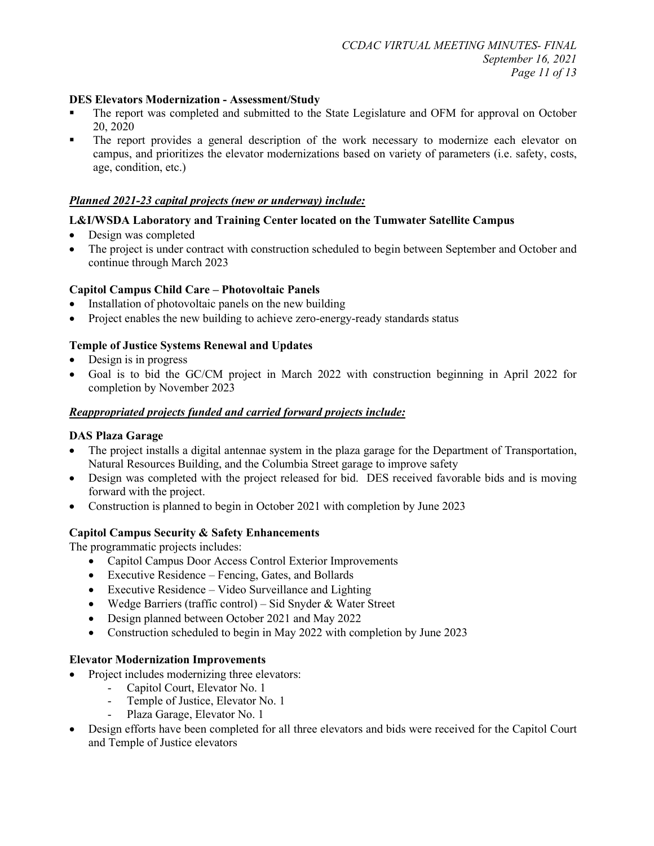### **DES Elevators Modernization - Assessment/Study**

- The report was completed and submitted to the State Legislature and OFM for approval on October 20, 2020
- The report provides a general description of the work necessary to modernize each elevator on campus, and prioritizes the elevator modernizations based on variety of parameters (i.e. safety, costs, age, condition, etc.)

#### *Planned 2021-23 capital projects (new or underway) include:*

#### **L&I/WSDA Laboratory and Training Center located on the Tumwater Satellite Campus**

- Design was completed
- The project is under contract with construction scheduled to begin between September and October and continue through March 2023

#### **Capitol Campus Child Care – Photovoltaic Panels**

- Installation of photovoltaic panels on the new building
- Project enables the new building to achieve zero-energy-ready standards status

#### **Temple of Justice Systems Renewal and Updates**

- Design is in progress
- Goal is to bid the GC/CM project in March 2022 with construction beginning in April 2022 for completion by November 2023

#### *Reappropriated projects funded and carried forward projects include:*

#### **DAS Plaza Garage**

- The project installs a digital antennae system in the plaza garage for the Department of Transportation, Natural Resources Building, and the Columbia Street garage to improve safety
- Design was completed with the project released for bid. DES received favorable bids and is moving forward with the project.
- Construction is planned to begin in October 2021 with completion by June 2023

#### **Capitol Campus Security & Safety Enhancements**

The programmatic projects includes:

- Capitol Campus Door Access Control Exterior Improvements
- Executive Residence Fencing, Gates, and Bollards
- Executive Residence Video Surveillance and Lighting
- Wedge Barriers (traffic control) Sid Snyder & Water Street
- Design planned between October 2021 and May 2022
- Construction scheduled to begin in May 2022 with completion by June 2023

#### **Elevator Modernization Improvements**

- Project includes modernizing three elevators:
	- Capitol Court, Elevator No. 1
	- Temple of Justice, Elevator No. 1
	- Plaza Garage, Elevator No. 1
- Design efforts have been completed for all three elevators and bids were received for the Capitol Court and Temple of Justice elevators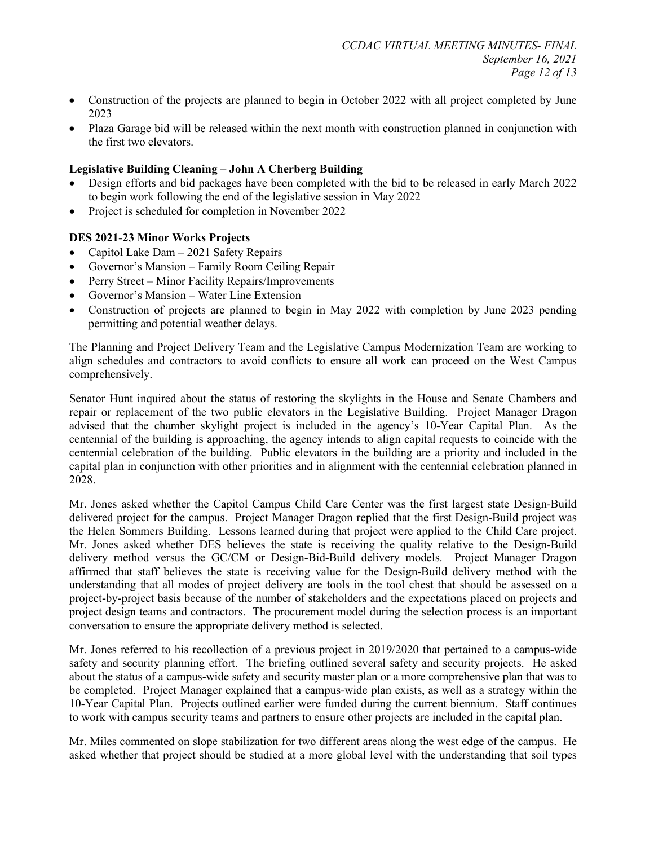- Construction of the projects are planned to begin in October 2022 with all project completed by June 2023
- Plaza Garage bid will be released within the next month with construction planned in conjunction with the first two elevators.

#### **Legislative Building Cleaning – John A Cherberg Building**

- Design efforts and bid packages have been completed with the bid to be released in early March 2022 to begin work following the end of the legislative session in May 2022
- Project is scheduled for completion in November 2022

#### **DES 2021-23 Minor Works Projects**

- Capitol Lake Dam 2021 Safety Repairs
- Governor's Mansion Family Room Ceiling Repair
- Perry Street Minor Facility Repairs/Improvements
- Governor's Mansion Water Line Extension
- Construction of projects are planned to begin in May 2022 with completion by June 2023 pending permitting and potential weather delays.

The Planning and Project Delivery Team and the Legislative Campus Modernization Team are working to align schedules and contractors to avoid conflicts to ensure all work can proceed on the West Campus comprehensively.

Senator Hunt inquired about the status of restoring the skylights in the House and Senate Chambers and repair or replacement of the two public elevators in the Legislative Building. Project Manager Dragon advised that the chamber skylight project is included in the agency's 10-Year Capital Plan. As the centennial of the building is approaching, the agency intends to align capital requests to coincide with the centennial celebration of the building. Public elevators in the building are a priority and included in the capital plan in conjunction with other priorities and in alignment with the centennial celebration planned in 2028.

Mr. Jones asked whether the Capitol Campus Child Care Center was the first largest state Design-Build delivered project for the campus. Project Manager Dragon replied that the first Design-Build project was the Helen Sommers Building. Lessons learned during that project were applied to the Child Care project. Mr. Jones asked whether DES believes the state is receiving the quality relative to the Design-Build delivery method versus the GC/CM or Design-Bid-Build delivery models. Project Manager Dragon affirmed that staff believes the state is receiving value for the Design-Build delivery method with the understanding that all modes of project delivery are tools in the tool chest that should be assessed on a project-by-project basis because of the number of stakeholders and the expectations placed on projects and project design teams and contractors. The procurement model during the selection process is an important conversation to ensure the appropriate delivery method is selected.

Mr. Jones referred to his recollection of a previous project in 2019/2020 that pertained to a campus-wide safety and security planning effort. The briefing outlined several safety and security projects. He asked about the status of a campus-wide safety and security master plan or a more comprehensive plan that was to be completed. Project Manager explained that a campus-wide plan exists, as well as a strategy within the 10-Year Capital Plan. Projects outlined earlier were funded during the current biennium. Staff continues to work with campus security teams and partners to ensure other projects are included in the capital plan.

Mr. Miles commented on slope stabilization for two different areas along the west edge of the campus. He asked whether that project should be studied at a more global level with the understanding that soil types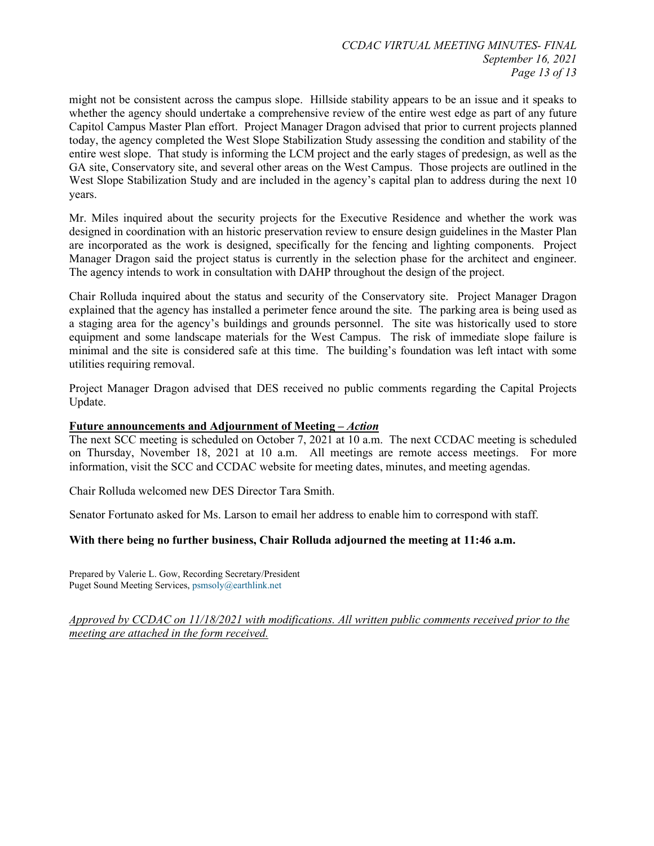might not be consistent across the campus slope. Hillside stability appears to be an issue and it speaks to whether the agency should undertake a comprehensive review of the entire west edge as part of any future Capitol Campus Master Plan effort. Project Manager Dragon advised that prior to current projects planned today, the agency completed the West Slope Stabilization Study assessing the condition and stability of the entire west slope. That study is informing the LCM project and the early stages of predesign, as well as the GA site, Conservatory site, and several other areas on the West Campus. Those projects are outlined in the West Slope Stabilization Study and are included in the agency's capital plan to address during the next 10 years.

Mr. Miles inquired about the security projects for the Executive Residence and whether the work was designed in coordination with an historic preservation review to ensure design guidelines in the Master Plan are incorporated as the work is designed, specifically for the fencing and lighting components. Project Manager Dragon said the project status is currently in the selection phase for the architect and engineer. The agency intends to work in consultation with DAHP throughout the design of the project.

Chair Rolluda inquired about the status and security of the Conservatory site. Project Manager Dragon explained that the agency has installed a perimeter fence around the site. The parking area is being used as a staging area for the agency's buildings and grounds personnel. The site was historically used to store equipment and some landscape materials for the West Campus. The risk of immediate slope failure is minimal and the site is considered safe at this time. The building's foundation was left intact with some utilities requiring removal.

Project Manager Dragon advised that DES received no public comments regarding the Capital Projects Update.

#### **Future announcements and Adjournment of Meeting –** *Action*

The next SCC meeting is scheduled on October 7, 2021 at 10 a.m. The next CCDAC meeting is scheduled on Thursday, November 18, 2021 at 10 a.m. All meetings are remote access meetings. For more information, visit the SCC and CCDAC website for meeting dates, minutes, and meeting agendas.

Chair Rolluda welcomed new DES Director Tara Smith.

Senator Fortunato asked for Ms. Larson to email her address to enable him to correspond with staff.

#### **With there being no further business, Chair Rolluda adjourned the meeting at 11:46 a.m.**

Prepared by Valerie L. Gow, Recording Secretary/President Puget Sound Meeting Services, [psmsoly@earthlink.net](mailto:psmsoly@earthlink.net)

*Approved by CCDAC on 11/18/2021 with modifications. All written public comments received prior to the meeting are attached in the form received.*